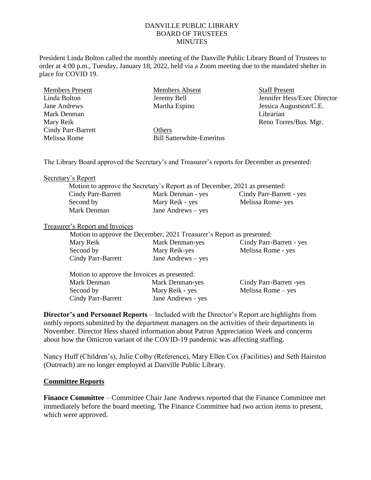## DANVILLE PUBLIC LIBRARY BOARD OF TRUSTEES MINUTES

Director

President Linda Bolton called the monthly meeting of the Danville Public Library Board of Trustees to order at 4:00 p.m., Tuesday, January 18, 2022, held via a Zoom meeting due to the mandated shelter in place for COVID 19.

| <b>Members Present</b>    | <b>Members Absent</b>            | <b>Staff Present</b>    |
|---------------------------|----------------------------------|-------------------------|
| Linda Bolton              | Jeremy Bell                      | Jennifer Hess/Exec Dire |
| Jane Andrews              | Martha Espino                    | Jessica Augustson/C.E.  |
| Mark Denman               |                                  | Librarian               |
| Mary Reik                 |                                  | Reno Torres/Bus. Mgr.   |
| <b>Cindy Parr-Barrett</b> | Others                           |                         |
| Melissa Rome              | <b>Bill Satterwhite-Emeritus</b> |                         |
|                           |                                  |                         |

The Library Board approved the Secretary's and Treasurer's reports for December as presented:

#### Secretary's Report

|                           | Motion to approve the Secretary's Report as of December, 2021 as presented: |                          |
|---------------------------|-----------------------------------------------------------------------------|--------------------------|
| <b>Cindy Parr-Barrett</b> | Mark Denman - yes                                                           | Cindy Parr-Barrett - yes |
| Second by                 | Mary Reik - yes                                                             | Melissa Rome-yes         |
| Mark Denman               | Jane Andrews $-$ yes                                                        |                          |
|                           |                                                                             |                          |

#### Treasurer's Report and Invoices

| Motion to approve the December, 2021 Treasurer's Report as presented: |                      |                          |  |
|-----------------------------------------------------------------------|----------------------|--------------------------|--|
| Mary Reik                                                             | Mark Denman-yes      | Cindy Parr-Barrett - yes |  |
| Second by                                                             | Mary Reik-yes        | Melissa Rome - yes       |  |
| Cindy Parr-Barrett                                                    | Jane Andrews $-$ yes |                          |  |

| Motion to approve the Invoices as presented: |                    |                         |  |
|----------------------------------------------|--------------------|-------------------------|--|
| Mark Denman                                  | Mark Denman-yes    | Cindy Parr-Barrett -yes |  |
| Second by                                    | Mary Reik - yes    | Melissa Rome $-$ yes    |  |
| Cindy Parr-Barrett                           | Jane Andrews - yes |                         |  |

**Director's and Personnel Reports** – Included with the Director's Report are highlights from onthly reports submitted by the department managers on the activities of their departments in November. Director Hess shared information about Patron Appreciation Week and concerns about how the Omicron variant of the COVID-19 pandemic was affecting staffing.

Nancy Huff (Children's), Julie Colby (Reference), Mary Ellen Cox (Facilities) and Seth Hairston (Outreach) are no longer employed at Danville Public Library.

## **Committee Reports**

**Finance Committee** – Committee Chair Jane Andrews reported that the Finance Committee met immediately before the board meeting. The Finance Committee had two action items to present, which were approved.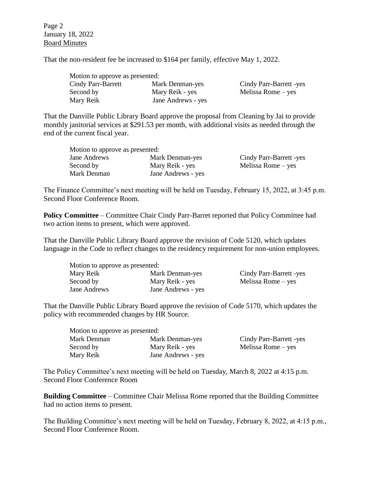Page 2 January 18, 2022 Board Minutes

That the non-resident fee be increased to \$164 per family, effective May 1, 2022.

| Motion to approve as presented: |                    |  |
|---------------------------------|--------------------|--|
| Cindy Parr-Barrett              | Mark Denman-yes    |  |
| Second by                       | Mary Reik - yes    |  |
| Mary Reik                       | Jane Andrews - yes |  |

Cindy Parr-Barrett -yes  $Melissa Rome - yes$ 

That the Danville Public Library Board approve the proposal from Cleaning by Jai to provide monthly janitorial services at \$291.53 per month, with additional visits as needed through the end of the current fiscal year.

| Motion to approve as presented: |                    |                         |
|---------------------------------|--------------------|-------------------------|
| Jane Andrews                    | Mark Denman-yes    | Cindy Parr-Barrett -yes |
| Second by                       | Mary Reik - yes    | Melissa Rome $-$ yes    |
| Mark Denman                     | Jane Andrews - yes |                         |

The Finance Committee's next meeting will be held on Tuesday, February 15, 2022, at 3:45 p.m. Second Floor Conference Room.

**Policy Committee** – Committee Chair Cindy Parr-Barret reported that Policy Committee had two action items to present, which were approved.

That the Danville Public Library Board approve the revision of Code 5120, which updates language in the Code to reflect changes to the residency requirement for non-union employees.

| Motion to approve as presented: |                    |                         |
|---------------------------------|--------------------|-------------------------|
| Mary Reik                       | Mark Denman-yes    | Cindy Parr-Barrett -yes |
| Second by                       | Mary Reik - yes    | Melissa Rome $-$ yes    |
| Jane Andrews                    | Jane Andrews - yes |                         |

That the Danville Public Library Board approve the revision of Code 5170, which updates the policy with recommended changes by HR Source.

| Motion to approve as presented: |                    |                         |
|---------------------------------|--------------------|-------------------------|
| Mark Denman                     | Mark Denman-yes    | Cindy Parr-Barrett -yes |
| Second by                       | Mary Reik - yes    | Melissa Rome $-$ yes    |
| Mary Reik                       | Jane Andrews - yes |                         |

The Policy Committee's next meeting will be held on Tuesday, March 8, 2022 at 4:15 p.m. Second Floor Conference Room

**Building Committee** – Committee Chair Melissa Rome reported that the Building Committee had no action items to present.

The Building Committee's next meeting will be held on Tuesday, February 8, 2022, at 4:15 p.m., Second Floor Conference Room.